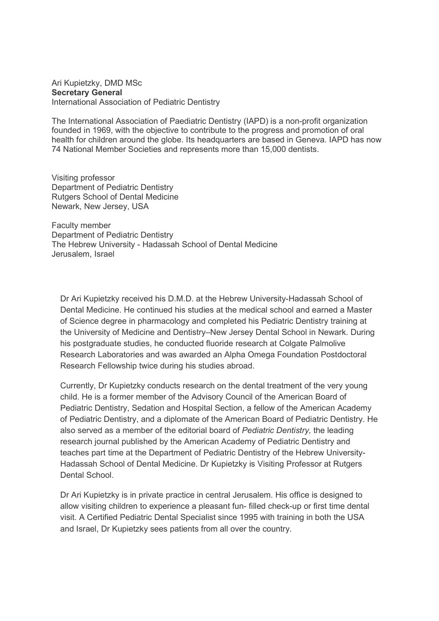## Ari Kupietzky, DMD MSc Secretary General International Association of Pediatric Dentistry

The International Association of Paediatric Dentistry (IAPD) is a non-profit organization founded in 1969, with the objective to contribute to the progress and promotion of oral health for children around the globe. Its headquarters are based in Geneva. IAPD has now 74 National Member Societies and represents more than 15,000 dentists.

Visiting professor Department of Pediatric Dentistry Rutgers School of Dental Medicine Newark, New Jersey, USA

Faculty member Department of Pediatric Dentistry The Hebrew University - Hadassah School of Dental Medicine Jerusalem, Israel

Dr Ari Kupietzky received his D.M.D. at the Hebrew University-Hadassah School of Dental Medicine. He continued his studies at the medical school and earned a Master of Science degree in pharmacology and completed his Pediatric Dentistry training at the University of Medicine and Dentistry–New Jersey Dental School in Newark. During his postgraduate studies, he conducted fluoride research at Colgate Palmolive Research Laboratories and was awarded an Alpha Omega Foundation Postdoctoral Research Fellowship twice during his studies abroad.

Currently, Dr Kupietzky conducts research on the dental treatment of the very young child. He is a former member of the Advisory Council of the American Board of Pediatric Dentistry, Sedation and Hospital Section, a fellow of the American Academy of Pediatric Dentistry, and a diplomate of the American Board of Pediatric Dentistry. He also served as a member of the editorial board of Pediatric Dentistry, the leading research journal published by the American Academy of Pediatric Dentistry and teaches part time at the Department of Pediatric Dentistry of the Hebrew University-Hadassah School of Dental Medicine. Dr Kupietzky is Visiting Professor at Rutgers Dental School.

Dr Ari Kupietzky is in private practice in central Jerusalem. His office is designed to allow visiting children to experience a pleasant fun- filled check-up or first time dental visit. A Certified Pediatric Dental Specialist since 1995 with training in both the USA and Israel, Dr Kupietzky sees patients from all over the country.